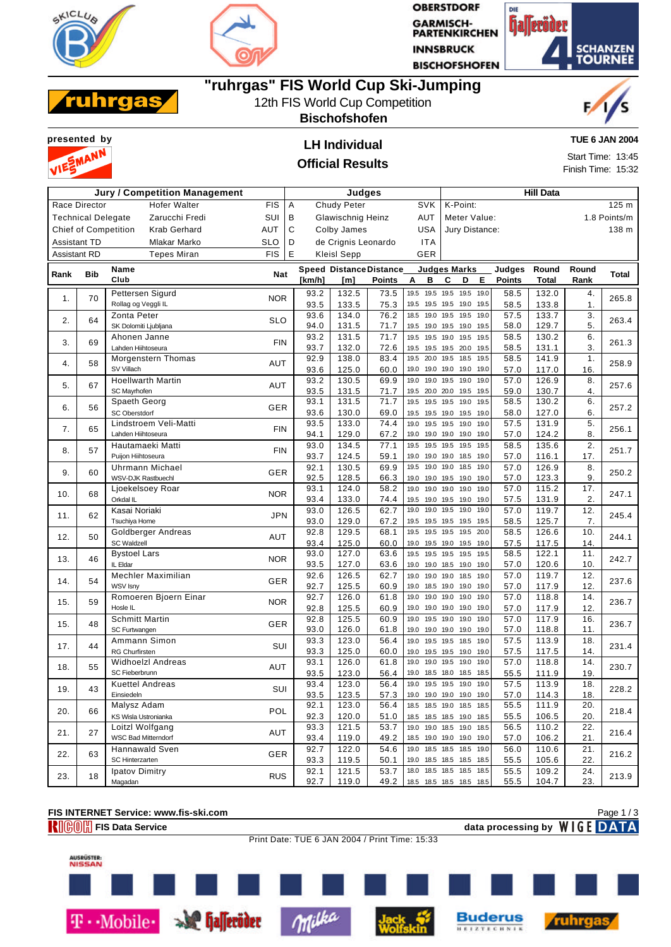



**OBERSTDORF GARMISCH-<br>PARTENKIRCHEN INNSBRUCK BISCHOFSHOFEN** 





### **"ruhrgas" FIS World Cup Ski-Jumping**

### 12th FIS World Cup Competition

**Bischofshofen**

# **presented by LH Individual** VIE

#### **Official Results**

**TUE 6 JAN 2004**

Start Time: 13:45 Finish Time: 15:32

| <b>Jury / Competition Management</b>               |               |                                          | Judges     |                                        |                                             |                     |                                |                             | <b>Hill Data</b>             |                                  |                     |                  |                |               |       |  |
|----------------------------------------------------|---------------|------------------------------------------|------------|----------------------------------------|---------------------------------------------|---------------------|--------------------------------|-----------------------------|------------------------------|----------------------------------|---------------------|------------------|----------------|---------------|-------|--|
|                                                    | Race Director | <b>Hofer Walter</b>                      | FIS        | Α                                      |                                             | <b>Chudy Peter</b>  |                                | <b>SVK</b>                  |                              | K-Point:                         |                     |                  |                |               | 125 m |  |
| SUI<br>Zarucchi Fredi<br><b>Technical Delegate</b> |               |                                          | В          | <b>Glawischnig Heinz</b><br><b>AUT</b> |                                             |                     |                                |                             | Meter Value:<br>1.8 Points/m |                                  |                     |                  |                |               |       |  |
| <b>Krab Gerhard</b><br><b>Chief of Competition</b> |               | <b>AUT</b>                               | C          |                                        | <b>USA</b><br>Colby James<br>Jury Distance: |                     |                                |                             |                              |                                  | 138 m               |                  |                |               |       |  |
|                                                    | Assistant TD  | Mlakar Marko                             | <b>SLO</b> | D                                      |                                             | de Crignis Leonardo |                                | <b>ITA</b>                  |                              |                                  |                     |                  |                |               |       |  |
| Assistant RD                                       |               | <b>Tepes Miran</b>                       | <b>FIS</b> | Е                                      |                                             | <b>Kleisl Sepp</b>  |                                | GER                         |                              |                                  |                     |                  |                |               |       |  |
|                                                    |               | Name                                     |            |                                        |                                             |                     | <b>Speed Distance Distance</b> | <b>Judges Marks</b>         |                              |                                  |                     | Judges           | Round          | Round         |       |  |
| Rank                                               | <b>Bib</b>    | Club                                     | Nat        |                                        | [km/h]                                      | [m]                 | <b>Points</b>                  | A<br>в                      | C                            | D                                | E                   | <b>Points</b>    | <b>Total</b>   | Rank          | Total |  |
|                                                    |               | Pettersen Sigurd                         |            |                                        | 93.2                                        | 132.5               | 73.5                           | 19.5                        |                              | 19.5 19.5 19.5                   | 19.0                | 58.5             | 132.0          | 4.            |       |  |
| 1.                                                 | 70            | Rollag og Veggli IL                      | <b>NOR</b> |                                        | 93.5                                        | 133.5               | 75.3                           | 19.5                        |                              | 19.5 19.5 19.0                   | 19.5                | 58.5             | 133.8          | $\mathbf 1$ . | 265.8 |  |
| 2.                                                 | 64            | Zonta Peter                              | <b>SLO</b> |                                        | 93.6                                        | 134.0               | 76.2                           | 18.5                        |                              | 19.0 19.5 19.5                   | 19.0                | 57.5             | 133.7          | 3.            | 263.4 |  |
|                                                    |               | SK Dolomiti Ljubljana                    |            |                                        | 94.0                                        | 131.5               | 71.7                           | 19.5                        |                              | 19.0 19.5 19.0                   | 19.5                | 58.0             | 129.7          | 5.            |       |  |
| 3.                                                 | 69            | Ahonen Janne                             | <b>FIN</b> |                                        | 93.2                                        | 131.5               | 71.7                           | 19.5                        |                              | 19.5 19.0 19.5                   | 19.5                | 58.5             | 130.2          | 6.            | 261.3 |  |
|                                                    |               | Lahden Hiihtoseura                       |            |                                        | 93.7                                        | 132.0               | 72.6                           | 19.5                        |                              | 19.5 19.5 20.0                   | 19.5                | 58.5             | 131.1          | 3.            |       |  |
| 4.                                                 | 58            | Morgenstern Thomas                       | AUT        |                                        | 92.9                                        | 138.0               | 83.4                           | 19.5                        |                              | 20.0 19.5 18.5                   | 19.5                | 58.5             | 141.9          | 1.            | 258.9 |  |
|                                                    |               | SV Villach                               |            |                                        | 93.6                                        | 125.0               | 60.0                           | 19.0                        | 19.0 19.5                    | 19.0 19.0 19.0<br>19.0           | 19.0<br>19.0        | 57.0             | 117.0<br>126.9 | 16.           |       |  |
| 5.                                                 | 67            | <b>Hoellwarth Martin</b><br>SC Mayrhofen | AUT        |                                        | 93.2<br>93.5                                | 130.5<br>131.5      | 69.9<br>71.7                   | 19.0<br>19.5 20.0 20.0 19.5 |                              |                                  | 19.5                | 57.0<br>59.0     | 130.7          | 8.<br>4.      | 257.6 |  |
|                                                    |               | Spaeth Georg                             |            |                                        | 93.1                                        | 131.5               | 71.7                           | 19.5                        |                              | 19.5 19.5 19.0                   | 19.5                | 58.5             | 130.2          | 6.            |       |  |
| 6.                                                 | 56            | SC Oberstdorf                            | GER        |                                        | 93.6                                        | 130.0               | 69.0                           | 19.5                        |                              | 19.5 19.0 19.5                   | 19.0                | 58.0             | 127.0          | 6.            | 257.2 |  |
|                                                    |               | Lindstroem Veli-Matti                    |            |                                        | 93.5                                        | 133.0               | 74.4                           | 19.0                        |                              | 19.5 19.5 19.0                   | 19.0                | 57.5             | 131.9          | 5.            |       |  |
| 7.                                                 | 65            | Lahden Hiihtoseura                       | <b>FIN</b> |                                        | 94.1                                        | 129.0               | 67.2                           | 19.0                        | 19.0 19.0                    | 19.0                             | 19.0                | 57.0             | 124.2          | 8.            | 256.1 |  |
| 8.                                                 | 57            | Hautamaeki Matti                         | <b>FIN</b> |                                        | 93.0                                        | 134.5               | 77.1                           | 19.5                        |                              | 19.5 19.5 19.5                   | 19.5                | 58.5             | 135.6          | 2.            | 251.7 |  |
|                                                    |               | Puijon Hiihtoseura                       |            |                                        | 93.7                                        | 124.5               | 59.1                           | 19.0                        |                              | 19.0 19.0 18.5                   | 19.0                | 57.0             | 116.1          | 17.           |       |  |
| 9.                                                 | 60            | <b>Uhrmann Michael</b>                   | GER        |                                        | 92.1                                        | 130.5               | 69.9                           | 19.5                        | 19.0 19.0                    | 18.5                             | 19.0                | 57.0             | 126.9          | 8.            | 250.2 |  |
|                                                    |               | WSV-DJK Rastbuechl                       |            |                                        | 92.5                                        | 128.5               | 66.3                           | 19.0                        |                              | 19.0 19.5 19.0                   | 19.0                | 57.0             | 123.3          | 9.            |       |  |
| 10.                                                | 68            | Ljoekelsoey Roar                         | <b>NOR</b> |                                        | 93.1                                        | 124.0               | 58.2                           | 19.0                        | 19.0 19.0                    | 19.0                             | 19.0                | 57.0             | 115.2          | 17.           | 247.1 |  |
|                                                    |               | Orkdal IL                                |            |                                        | 93.4                                        | 133.0               | 74.4                           | 19.5                        |                              | 19.0 19.5 19.0                   | 19.0                | 57.5             | 131.9          | 2.            |       |  |
| 11.                                                | 62            | Kasai Noriaki<br>Tsuchiya Home           | <b>JPN</b> |                                        | 93.0                                        | 126.5               | 62.7                           | 19.0                        |                              | 19.0 19.5 19.0                   | 19.0<br>19.5        | 57.0             | 119.7          | 12.           | 245.4 |  |
|                                                    |               | Goldberger Andreas                       |            |                                        | 93.0<br>92.8                                | 129.0<br>129.5      | 67.2<br>68.1                   | 19.5<br>19.5                |                              | 19.5 19.5 19.5<br>19.5 19.5 19.5 | 20.0                | 58.5<br>58.5     | 125.7<br>126.6 | 7.<br>10.     |       |  |
| 12.                                                | 50            | <b>SC Waldzell</b>                       | AUT        |                                        | 93.4                                        | 125.0               | 60.0                           | 19.0                        |                              | 19.5 19.0 19.5                   | 19.0                | 57.5             | 117.5          | 14.           | 244.1 |  |
|                                                    |               | <b>Bystoel Lars</b>                      |            |                                        | 93.0                                        | 127.0               | 63.6                           | 19.5                        |                              | 19.5 19.5 19.5                   | 19.5                | 58.5             | 122.1          | 11.           |       |  |
| 13.                                                | 46            | IL Eldar                                 | <b>NOR</b> |                                        | 93.5                                        | 127.0               | 63.6                           | 19.0                        |                              | 19.0 18.5 19.0                   | 19.0                | 57.0             | 120.6          | 10.           | 242.7 |  |
|                                                    |               | Mechler Maximilian                       |            |                                        | 92.6                                        | 126.5               | 62.7                           | 19.0                        | 19.0 19.0                    | 18.5                             | 19.0                | 57.0             | 119.7          | 12.           |       |  |
| 14.                                                | 54            | WSV Isny                                 | GER        |                                        | 92.7                                        | 125.5               | 60.9                           | 19.0                        |                              | 18.5 19.0 19.0                   | 19.0                | 57.0             | 117.9          | 12.           | 237.6 |  |
| 15.                                                | 59            | Romoeren Bjoern Einar                    | <b>NOR</b> |                                        | 92.7                                        | 126.0               | 61.8                           | 19.0<br>19.0                | 19.0                         | 19.0                             | 19.0                | 57.0             | 118.8          | 14.           | 236.7 |  |
|                                                    |               | Hosle IL                                 |            |                                        | 92.8                                        | 125.5               | 60.9                           | 19.0                        |                              | 19.0 19.0 19.0                   | 19.0                | 57.0             | 117.9          | 12.           |       |  |
| 15.                                                | 48            | <b>Schmitt Martin</b>                    | GER        |                                        | 92.8                                        | 125.5               | 60.9                           | 19.0                        |                              | 19.5 19.0 19.0                   | 19.0                | $\frac{1}{57.0}$ | 117.9          | 16.           | 236.7 |  |
|                                                    |               | SC Furtwangen                            |            |                                        | 93.0                                        | 126.0               | 61.8                           | 19.0                        |                              | 19.0 19.0 19.0                   | 19.0                | 57.0             | 118.8          | 11.           |       |  |
| 17.                                                | 44            | Ammann Simon<br><b>RG Churfirsten</b>    | SUI        |                                        | 93.3<br>93.3                                | 123.0<br>125.0      | 56.4                           | 19.0                        |                              | 19.5 19.5 18.5                   | 19.0                | 57.5<br>57.5     | 113.9<br>117.5 | 18.<br>14.    | 231.4 |  |
|                                                    |               | <b>Widhoelzl Andreas</b>                 |            |                                        | 93.1                                        | 126.0               | 60.0<br>61.8                   | 19.0<br>19.0                | 19.0 19.5                    | 19.5 19.5 19.0<br>19.0           | 19.0<br>19.0        | 57.0             | 118.8          | 14.           |       |  |
| 18.                                                | 55            | SC Fieberbrunn                           | AUT        |                                        | 93.5                                        | 123.0               | 56.4                           | 19.0                        | 18.5 18.0                    | 18.5                             | 18.5                | 55.5             | 111.9          | 19.           | 230.7 |  |
|                                                    |               | <b>Kuettel Andreas</b>                   |            |                                        | 93.4                                        | 123.0               | 56.4                           | 19.0 19.5 19.5 19.0         |                              |                                  | 19.0                | 57.5             | 113.9          | 18.           |       |  |
| 19.                                                | 43            | Einsiedeln                               | SUI        |                                        | 93.5                                        | 123.5               | 57.3                           | 19.0 19.0 19.0 19.0 19.0    |                              |                                  |                     | 57.0             | 114.3          | 18.           | 228.2 |  |
|                                                    |               | Malysz Adam                              |            |                                        | 92.1                                        | 123.0               | 56.4                           | 18.5 18.5 19.0 18.5 18.5    |                              |                                  |                     | 55.5             | 111.9          | 20.           |       |  |
| 20.                                                | 66            | KS Wisla Ustronianka                     | POL        |                                        | 92.3                                        | 120.0               | 51.0                           | 18.5 18.5 18.5 19.0 18.5    |                              |                                  |                     | 55.5             | 106.5          | 20.           | 218.4 |  |
| 21.                                                | 27            | Loitzl Wolfgang                          | AUT        |                                        | 93.3                                        | 121.5               | 53.7                           | 19.0 19.0 18.5 19.0 18.5    |                              |                                  |                     | 56.5             | 110.2          | 22.           | 216.4 |  |
|                                                    |               | WSC Bad Mitterndorf                      |            |                                        | 93.4                                        | 119.0               | 49.2                           | 18.5 19.0 19.0 19.0 19.0    |                              |                                  |                     | 57.0             | 106.2          | 21.           |       |  |
| 22.                                                | 63            | Hannawald Sven                           | GER        |                                        | 92.7                                        | 122.0               | $\overline{5}4.6$              | 19.0 18.5 18.5 18.5 19.0    |                              |                                  |                     | 56.0             | 110.6          | 21.           | 216.2 |  |
|                                                    |               | SC Hinterzarten                          |            |                                        | 93.3                                        | 119.5               | 50.1                           | 19.0 18.5 18.5 18.5 18.5    |                              |                                  |                     | 55.5             | 105.6          | 22.           |       |  |
| 23.                                                | 18            | Ipatov Dimitry                           | <b>RUS</b> |                                        | 92.1                                        | 121.5               | 53.7                           | 18.0                        |                              |                                  | 18.5 18.5 18.5 18.5 | 55.5             | 109.2          | 24.           | 213.9 |  |
|                                                    |               | Magadan                                  |            |                                        | 92.7                                        | 119.0               | 49.2                           | 18.5 18.5 18.5 18.5 18.5    |                              |                                  |                     | 55.5             | 104.7          | 23.           |       |  |

### **FIS INTERNET Service: www.fis-ski.com**

**FIGOM** FIS Data Service data processing by **WIGE** DATA

Print Date: TUE 6 JAN 2004 / Print Time: 15:33

Milka

Page 1 / 3





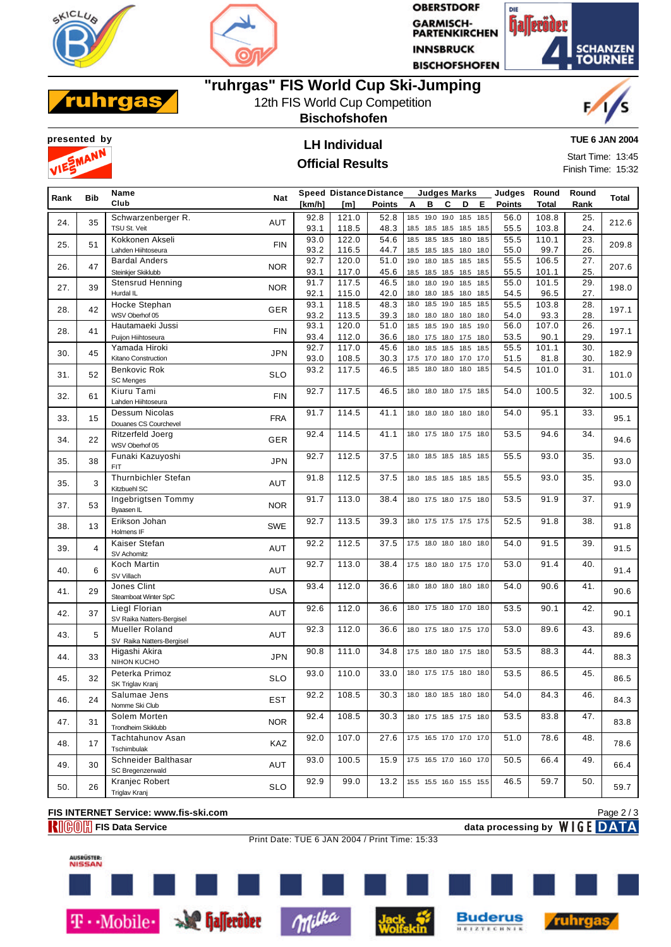



**OBERSTDORF GARMISCH-<br>PARTENKIRCHEN INNSBRUCK BISCHOFSHOFEN** 





## **"ruhrgas" FIS World Cup Ski-Jumping**

12th FIS World Cup Competition

**Bischofshofen**





# **Official Results**

**TUE 6 JAN 2004**

Start Time: 13:45 Finish Time: 15:32

| Rank | <b>Bib</b> | Name                                 | <b>Nat</b> |        | <b>Speed Distance Distance</b> |        |                          | <b>Judges Marks</b> |   |   |      | Judges        | Round        | Round | Total |
|------|------------|--------------------------------------|------------|--------|--------------------------------|--------|--------------------------|---------------------|---|---|------|---------------|--------------|-------|-------|
|      |            | Club                                 |            | [km/h] | [m]                            | Points | Α                        | в                   | C | D | Е    | <b>Points</b> | <b>Total</b> | Rank  |       |
|      |            | Schwarzenberger R.                   |            | 92.8   | 121.0                          | 52.8   | 18.5                     | 19.0 19.0 18.5      |   |   | 18.5 | 56.0          | 108.8        | 25.   |       |
| 24.  | 35         | TSU St. Veit                         | AUT        | 93.1   | 118.5                          | 48.3   | 18.5 18.5 18.5 18.5 18.5 |                     |   |   |      | 55.5          | 103.8        | 24.   | 212.6 |
|      |            | Kokkonen Akseli                      |            | 93.0   | 122.0                          | 54.6   | 18.5                     | 18.5 18.5 18.0      |   |   | 18.5 | 55.5          | 110.1        | 23.   |       |
| 25.  | 51         | Lahden Hiihtoseura                   | <b>FIN</b> | 93.2   | 116.5                          | 44.7   | 18.5 18.5 18.5 18.0 18.0 |                     |   |   |      | 55.0          | 99.7         | 26.   | 209.8 |
|      |            | <b>Bardal Anders</b>                 |            | 92.7   | 120.0                          | 51.0   | 19.0 18.0 18.5 18.5 18.5 |                     |   |   |      | 55.5          | 106.5        | 27.   |       |
| 26.  | 47         | Steinkjer Skiklubb                   | <b>NOR</b> | 93.1   | 117.0                          | 45.6   | 18.5 18.5 18.5 18.5 18.5 |                     |   |   |      | 55.5          | 101.1        | 25.   | 207.6 |
|      |            |                                      |            | 91.7   | 117.5                          | 46.5   |                          |                     |   |   |      | 55.0          | 101.5        | 29.   |       |
| 27.  | 39         | <b>Stensrud Henning</b><br>Hurdal IL | <b>NOR</b> |        |                                |        | 18.0                     | 18.0 19.0 18.5 18.5 |   |   |      |               |              |       | 198.0 |
|      |            |                                      |            | 92.1   | 115.0                          | 42.0   | 18.0 18.0 18.5 18.0 18.5 |                     |   |   |      | 54.5          | 96.5         | 27.   |       |
| 28.  | 42         | Hocke Stephan                        | <b>GER</b> | 93.1   | 118.5                          | 48.3   | 18.0                     | 18.5 19.0 18.5      |   |   | 18.5 | 55.5          | 103.8        | 28.   | 197.1 |
|      |            | WSV Oberhof 05                       |            | 93.2   | 113.5                          | 39.3   | 18.0                     | 18.0 18.0 18.0      |   |   | 18.0 | 54.0          | 93.3         | 28.   |       |
| 28.  | 41         | Hautamaeki Jussi                     | <b>FIN</b> | 93.1   | 120.0                          | 51.0   | 18.5 18.5 19.0 18.5      |                     |   |   | 19.0 | 56.0          | 107.0        | 26.   | 197.1 |
|      |            | Puijon Hiihtoseura                   |            | 93.4   | 112.0                          | 36.6   | 18.0 17.5 18.0 17.5 18.0 |                     |   |   |      | 53.5          | 90.1         | 29.   |       |
| 30.  | 45         | Yamada Hiroki                        | <b>JPN</b> | 92.7   | 117.0                          | 45.6   | 18.0 18.5 18.5 18.5      |                     |   |   | 18.5 | 55.5          | 101.1        | 30.   | 182.9 |
|      |            | Kitano Construction                  |            | 93.0   | 108.5                          | 30.3   | 17.5 17.0 18.0 17.0 17.0 |                     |   |   |      | 51.5          | 81.8         | 30.   |       |
| 31.  | 52         | Benkovic Rok                         | <b>SLO</b> | 93.2   | 117.5                          | 46.5   | 18.5 18.0 18.0 18.0      |                     |   |   | 18.5 | 54.5          | 101.0        | 31.   | 101.0 |
|      |            | <b>SC Menges</b>                     |            |        |                                |        |                          |                     |   |   |      |               |              |       |       |
| 32.  | 61         | Kiuru Tami                           | <b>FIN</b> | 92.7   | 117.5                          | 46.5   | 18.0 18.0 18.0 17.5 18.5 |                     |   |   |      | 54.0          | 100.5        | 32.   | 100.5 |
|      |            | Lahden Hiihtoseura                   |            |        |                                |        |                          |                     |   |   |      |               |              |       |       |
| 33.  | 15         | Dessum Nicolas                       | <b>FRA</b> | 91.7   | 114.5                          | 41.1   | 18.0 18.0 18.0 18.0 18.0 |                     |   |   |      | 54.0          | 95.1         | 33.   | 95.1  |
|      |            | Douanes CS Courchevel                |            |        |                                |        |                          |                     |   |   |      |               |              |       |       |
| 34.  | 22         | Ritzerfeld Joerg                     | GER        | 92.4   | 114.5                          | 41.1   | 18.0 17.5 18.0 17.5 18.0 |                     |   |   |      | 53.5          | 94.6         | 34.   | 94.6  |
|      |            | WSV Oberhof 05                       |            |        |                                |        |                          |                     |   |   |      |               |              |       |       |
|      |            | Funaki Kazuyoshi                     |            | 92.7   | 112.5                          | 37.5   | 18.0 18.5 18.5 18.5 18.5 |                     |   |   |      | 55.5          | 93.0         | 35.   |       |
| 35.  | 38         | <b>FIT</b>                           | JPN        |        |                                |        |                          |                     |   |   |      |               |              |       | 93.0  |
|      |            | Thurnbichler Stefan                  |            | 91.8   | 112.5                          | 37.5   | 18.0 18.5 18.5 18.5 18.5 |                     |   |   |      | 55.5          | 93.0         | 35.   |       |
| 35.  | 3          | Kitzbuehl SC                         | <b>AUT</b> |        |                                |        |                          |                     |   |   |      |               |              |       | 93.0  |
|      |            | Ingebrigtsen Tommy                   |            | 91.7   | 113.0                          | 38.4   | 18.0 17.5 18.0 17.5 18.0 |                     |   |   |      | 53.5          | 91.9         | 37.   |       |
| 37.  | 53         | <b>B</b> vaasen IL                   | <b>NOR</b> |        |                                |        |                          |                     |   |   |      |               |              |       | 91.9  |
|      |            | Erikson Johan                        |            | 92.7   | 113.5                          | 39.3   | 18.0 17.5 17.5 17.5 17.5 |                     |   |   |      | 52.5          | 91.8         | 38.   |       |
| 38.  | 13         | Holmens IF                           | <b>SWE</b> |        |                                |        |                          |                     |   |   |      |               |              |       | 91.8  |
|      |            | Kaiser Stefan                        |            | 92.2   | 112.5                          | 37.5   | 17.5 18.0 18.0 18.0 18.0 |                     |   |   |      | 54.0          | 91.5         | 39.   |       |
| 39.  | 4          | SV Achomitz                          | AUT        |        |                                |        |                          |                     |   |   |      |               |              |       | 91.5  |
|      |            | Koch Martin                          |            | 92.7   | 113.0                          | 38.4   | 17.5 18.0 18.0 17.5 17.0 |                     |   |   |      | 53.0          | 91.4         | 40.   |       |
| 40.  | 6          | SV Villach                           | AUT        |        |                                |        |                          |                     |   |   |      |               |              |       | 91.4  |
|      |            | Jones Clint                          |            | 93.4   | 112.0                          | 36.6   | 18.0 18.0 18.0 18.0 18.0 |                     |   |   |      | 54.0          | 90.6         | 41.   |       |
| 41.  | 29         | Steamboat Winter SpC                 | <b>USA</b> |        |                                |        |                          |                     |   |   |      |               |              |       | 90.6  |
|      |            | Liegl Florian                        |            | 92.6   | 112.0                          | 36.6   | 18.0 17.5 18.0 17.0 18.0 |                     |   |   |      | 53.5          | 90.1         | 42.   |       |
| 42.  | 37         | SV Raika Natters-Bergisel            | AUT        |        |                                |        |                          |                     |   |   |      |               |              |       | 90.1  |
|      |            | <b>Mueller Roland</b>                |            | 92.3   | 112.0                          | 36.6   | 18.0 17.5 18.0 17.5 17.0 |                     |   |   |      | 53.0          | 89.6         | 43.   |       |
| 43.  | 5          | SV Raika Natters-Bergisel            | AUT        |        |                                |        |                          |                     |   |   |      |               |              |       | 89.6  |
|      |            | Higashi Akira                        |            | 90.8   | 111.0                          | 34.8   |                          |                     |   |   |      | 53.5          | 88.3         | 44.   |       |
| 44.  | 33         | NIHON KUCHO                          | <b>JPN</b> |        |                                |        | 17.5 18.0 18.0 17.5 18.0 |                     |   |   |      |               |              |       | 88.3  |
|      |            |                                      |            |        |                                |        |                          |                     |   |   |      |               |              |       |       |
| 45.  | 32         | Peterka Primoz                       | <b>SLO</b> | 93.0   | 110.0                          | 33.0   | 18.0 17.5 17.5 18.0 18.0 |                     |   |   |      | 53.5          | 86.5         | 45.   | 86.5  |
|      |            | SK Triglav Kranj                     |            |        |                                |        |                          |                     |   |   |      |               |              |       |       |
| 46.  | 24         | Salumae Jens                         | <b>EST</b> | 92.2   | 108.5                          | 30.3   | 18.0 18.0 18.5 18.0 18.0 |                     |   |   |      | 54.0          | 84.3         | 46.   | 84.3  |
|      |            | Nomme Ski Club                       |            |        |                                |        |                          |                     |   |   |      |               |              |       |       |
| 47.  | 31         | Solem Morten                         | <b>NOR</b> | 92.4   | 108.5                          | 30.3   | 18.0 17.5 18.5 17.5 18.0 |                     |   |   |      | 53.5          | 83.8         | 47.   | 83.8  |
|      |            | Trondheim Skiklubb                   |            |        |                                |        |                          |                     |   |   |      |               |              |       |       |
| 48.  | 17         | Tachtahunov Asan                     | KAZ        | 92.0   | 107.0                          | 27.6   | 17.5 16.5 17.0 17.0 17.0 |                     |   |   |      | 51.0          | 78.6         | 48.   | 78.6  |
|      |            | Tschimbulak                          |            |        |                                |        |                          |                     |   |   |      |               |              |       |       |
| 49.  | 30         | Schneider Balthasar                  | AUT        | 93.0   | 100.5                          | 15.9   | 17.5 16.5 17.0 16.0 17.0 |                     |   |   |      | 50.5          | 66.4         | 49.   | 66.4  |
|      |            | SC Bregenzerwald                     |            |        |                                |        |                          |                     |   |   |      |               |              |       |       |
| 50.  | 26         | Kranjec Robert                       | <b>SLO</b> | 92.9   | 99.0                           | 13.2   | 15.5 15.5 16.0 15.5 15.5 |                     |   |   |      | 46.5          | 59.7         | 50.   | 59.7  |
|      |            | Triglav Kranj                        |            |        |                                |        |                          |                     |   |   |      |               |              |       |       |
|      |            |                                      |            |        |                                |        |                          |                     |   |   |      |               |              |       |       |

### **FIS INTERNET Service: www.fis-ski.com**

**FIGOM** FIS Data Service data processing by WIGE DATA

Print Date: TUE 6 JAN 2004 / Print Time: 15:33

Page 2 / 3



T · Mobile · Se halleröder